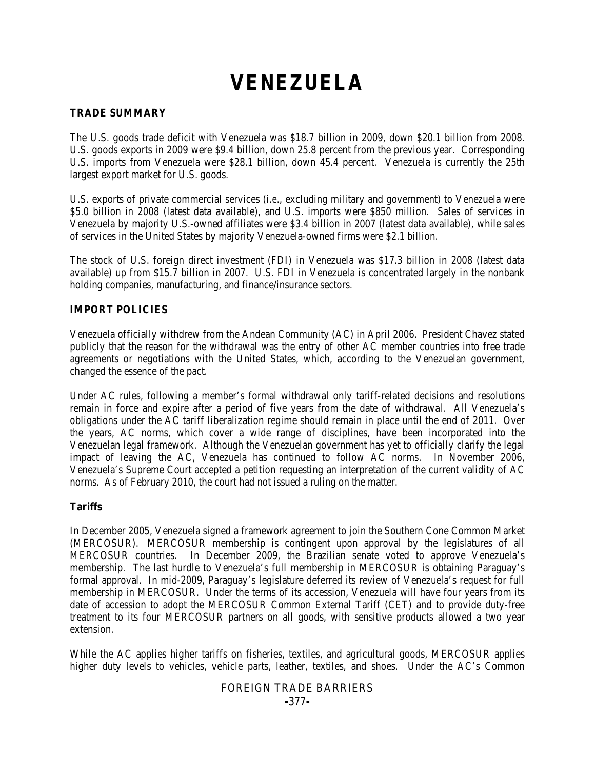# **VENEZUELA**

## **TRADE SUMMARY**

The U.S. goods trade deficit with Venezuela was \$18.7 billion in 2009, down \$20.1 billion from 2008. U.S. goods exports in 2009 were \$9.4 billion, down 25.8 percent from the previous year. Corresponding U.S. imports from Venezuela were \$28.1 billion, down 45.4 percent. Venezuela is currently the 25th largest export market for U.S. goods.

U.S. exports of private commercial services (*i.e.*, excluding military and government) to Venezuela were \$5.0 billion in 2008 (latest data available), and U.S. imports were \$850 million. Sales of services in Venezuela by majority U.S.-owned affiliates were \$3.4 billion in 2007 (latest data available), while sales of services in the United States by majority Venezuela-owned firms were \$2.1 billion.

The stock of U.S. foreign direct investment (FDI) in Venezuela was \$17.3 billion in 2008 (latest data available) up from \$15.7 billion in 2007. U.S. FDI in Venezuela is concentrated largely in the nonbank holding companies, manufacturing, and finance/insurance sectors.

# **IMPORT POLICIES**

Venezuela officially withdrew from the Andean Community (AC) in April 2006. President Chavez stated publicly that the reason for the withdrawal was the entry of other AC member countries into free trade agreements or negotiations with the United States, which, according to the Venezuelan government, changed the essence of the pact.

Under AC rules, following a member's formal withdrawal only tariff-related decisions and resolutions remain in force and expire after a period of five years from the date of withdrawal. All Venezuela's obligations under the AC tariff liberalization regime should remain in place until the end of 2011. Over the years, AC norms, which cover a wide range of disciplines, have been incorporated into the Venezuelan legal framework. Although the Venezuelan government has yet to officially clarify the legal impact of leaving the AC, Venezuela has continued to follow AC norms. In November 2006, Venezuela's Supreme Court accepted a petition requesting an interpretation of the current validity of AC norms. As of February 2010, the court had not issued a ruling on the matter.

#### **Tariffs**

In December 2005, Venezuela signed a framework agreement to join the Southern Cone Common Market (MERCOSUR). MERCOSUR membership is contingent upon approval by the legislatures of all MERCOSUR countries. In December 2009, the Brazilian senate voted to approve Venezuela's membership. The last hurdle to Venezuela's full membership in MERCOSUR is obtaining Paraguay's formal approval. In mid-2009, Paraguay's legislature deferred its review of Venezuela's request for full membership in MERCOSUR. Under the terms of its accession, Venezuela will have four years from its date of accession to adopt the MERCOSUR Common External Tariff (CET) and to provide duty-free treatment to its four MERCOSUR partners on all goods, with sensitive products allowed a two year extension.

While the AC applies higher tariffs on fisheries, textiles, and agricultural goods, MERCOSUR applies higher duty levels to vehicles, vehicle parts, leather, textiles, and shoes. Under the AC's Common

# FOREIGN TRADE BARRIERS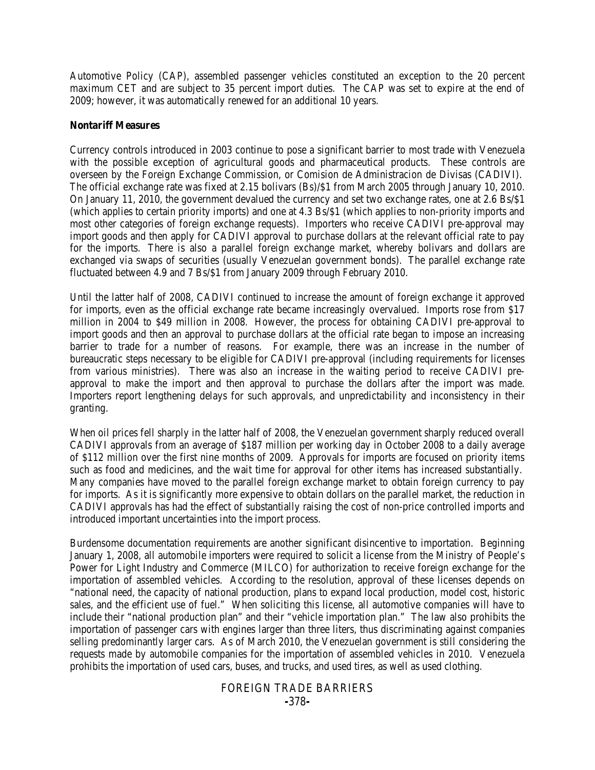Automotive Policy (CAP), assembled passenger vehicles constituted an exception to the 20 percent maximum CET and are subject to 35 percent import duties. The CAP was set to expire at the end of 2009; however, it was automatically renewed for an additional 10 years.

#### **Nontariff Measures**

Currency controls introduced in 2003 continue to pose a significant barrier to most trade with Venezuela with the possible exception of agricultural goods and pharmaceutical products. These controls are overseen by the Foreign Exchange Commission, or Comision de Administracion de Divisas (CADIVI). The official exchange rate was fixed at 2.15 bolivars (Bs)/\$1 from March 2005 through January 10, 2010. On January 11, 2010, the government devalued the currency and set two exchange rates, one at 2.6 Bs/\$1 (which applies to certain priority imports) and one at 4.3 Bs/\$1 (which applies to non-priority imports and most other categories of foreign exchange requests). Importers who receive CADIVI pre-approval may import goods and then apply for CADIVI approval to purchase dollars at the relevant official rate to pay for the imports. There is also a parallel foreign exchange market, whereby bolivars and dollars are exchanged via swaps of securities (usually Venezuelan government bonds). The parallel exchange rate fluctuated between 4.9 and 7 Bs/\$1 from January 2009 through February 2010.

Until the latter half of 2008, CADIVI continued to increase the amount of foreign exchange it approved for imports, even as the official exchange rate became increasingly overvalued. Imports rose from \$17 million in 2004 to \$49 million in 2008. However, the process for obtaining CADIVI pre-approval to import goods and then an approval to purchase dollars at the official rate began to impose an increasing barrier to trade for a number of reasons. For example, there was an increase in the number of bureaucratic steps necessary to be eligible for CADIVI pre-approval (including requirements for licenses from various ministries). There was also an increase in the waiting period to receive CADIVI preapproval to make the import and then approval to purchase the dollars after the import was made. Importers report lengthening delays for such approvals, and unpredictability and inconsistency in their granting.

When oil prices fell sharply in the latter half of 2008, the Venezuelan government sharply reduced overall CADIVI approvals from an average of \$187 million per working day in October 2008 to a daily average of \$112 million over the first nine months of 2009. Approvals for imports are focused on priority items such as food and medicines, and the wait time for approval for other items has increased substantially. Many companies have moved to the parallel foreign exchange market to obtain foreign currency to pay for imports. As it is significantly more expensive to obtain dollars on the parallel market, the reduction in CADIVI approvals has had the effect of substantially raising the cost of non-price controlled imports and introduced important uncertainties into the import process.

Burdensome documentation requirements are another significant disincentive to importation. Beginning January 1, 2008, all automobile importers were required to solicit a license from the Ministry of People's Power for Light Industry and Commerce (MILCO) for authorization to receive foreign exchange for the importation of assembled vehicles. According to the resolution, approval of these licenses depends on "national need, the capacity of national production, plans to expand local production, model cost, historic sales, and the efficient use of fuel." When soliciting this license, all automotive companies will have to include their "national production plan" and their "vehicle importation plan." The law also prohibits the importation of passenger cars with engines larger than three liters, thus discriminating against companies selling predominantly larger cars. As of March 2010, the Venezuelan government is still considering the requests made by automobile companies for the importation of assembled vehicles in 2010. Venezuela prohibits the importation of used cars, buses, and trucks, and used tires, as well as used clothing.

#### FOREIGN TRADE BARRIERS **-**378**-**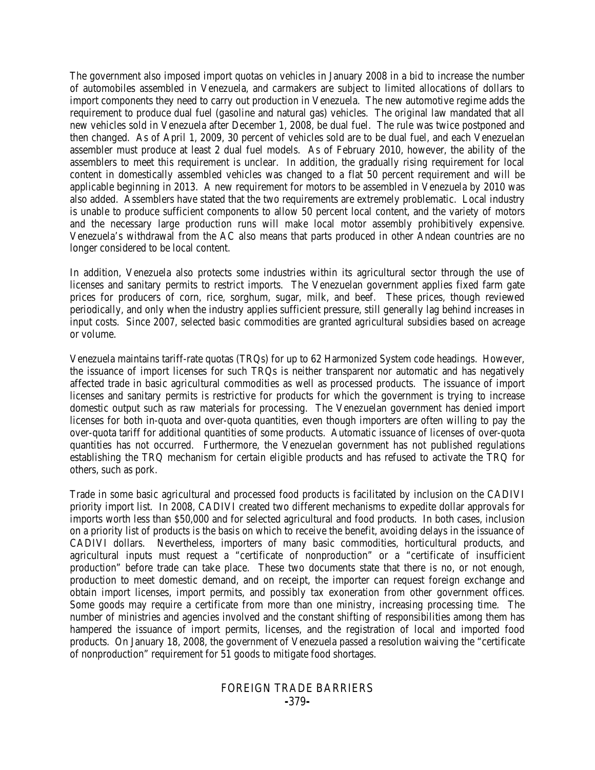The government also imposed import quotas on vehicles in January 2008 in a bid to increase the number of automobiles assembled in Venezuela, and carmakers are subject to limited allocations of dollars to import components they need to carry out production in Venezuela. The new automotive regime adds the requirement to produce dual fuel (gasoline and natural gas) vehicles. The original law mandated that all new vehicles sold in Venezuela after December 1, 2008, be dual fuel. The rule was twice postponed and then changed. As of April 1, 2009, 30 percent of vehicles sold are to be dual fuel, and each Venezuelan assembler must produce at least 2 dual fuel models. As of February 2010, however, the ability of the assemblers to meet this requirement is unclear. In addition, the gradually rising requirement for local content in domestically assembled vehicles was changed to a flat 50 percent requirement and will be applicable beginning in 2013. A new requirement for motors to be assembled in Venezuela by 2010 was also added. Assemblers have stated that the two requirements are extremely problematic. Local industry is unable to produce sufficient components to allow 50 percent local content, and the variety of motors and the necessary large production runs will make local motor assembly prohibitively expensive. Venezuela's withdrawal from the AC also means that parts produced in other Andean countries are no longer considered to be local content.

In addition, Venezuela also protects some industries within its agricultural sector through the use of licenses and sanitary permits to restrict imports. The Venezuelan government applies fixed farm gate prices for producers of corn, rice, sorghum, sugar, milk, and beef. These prices, though reviewed periodically, and only when the industry applies sufficient pressure, still generally lag behind increases in input costs. Since 2007, selected basic commodities are granted agricultural subsidies based on acreage or volume.

Venezuela maintains tariff-rate quotas (TRQs) for up to 62 Harmonized System code headings. However, the issuance of import licenses for such TRQs is neither transparent nor automatic and has negatively affected trade in basic agricultural commodities as well as processed products. The issuance of import licenses and sanitary permits is restrictive for products for which the government is trying to increase domestic output such as raw materials for processing. The Venezuelan government has denied import licenses for both in-quota and over-quota quantities, even though importers are often willing to pay the over-quota tariff for additional quantities of some products. Automatic issuance of licenses of over-quota quantities has not occurred. Furthermore, the Venezuelan government has not published regulations establishing the TRQ mechanism for certain eligible products and has refused to activate the TRQ for others, such as pork.

Trade in some basic agricultural and processed food products is facilitated by inclusion on the CADIVI priority import list. In 2008, CADIVI created two different mechanisms to expedite dollar approvals for imports worth less than \$50,000 and for selected agricultural and food products. In both cases, inclusion on a priority list of products is the basis on which to receive the benefit, avoiding delays in the issuance of CADIVI dollars. Nevertheless, importers of many basic commodities, horticultural products, and agricultural inputs must request a "certificate of nonproduction" or a "certificate of insufficient production" before trade can take place. These two documents state that there is no, or not enough, production to meet domestic demand, and on receipt, the importer can request foreign exchange and obtain import licenses, import permits, and possibly tax exoneration from other government offices. Some goods may require a certificate from more than one ministry, increasing processing time. The number of ministries and agencies involved and the constant shifting of responsibilities among them has hampered the issuance of import permits, licenses, and the registration of local and imported food products. On January 18, 2008, the government of Venezuela passed a resolution waiving the "certificate of nonproduction" requirement for 51 goods to mitigate food shortages.

#### FOREIGN TRADE BARRIERS **-**379**-**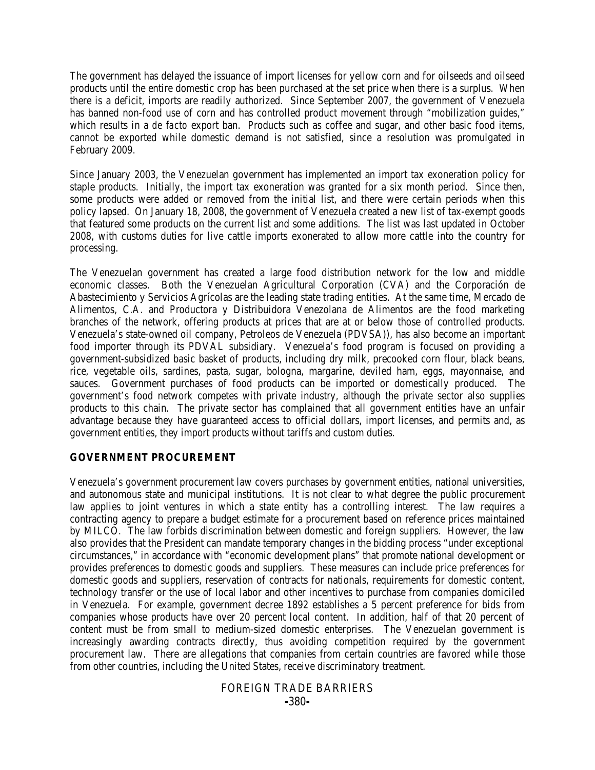The government has delayed the issuance of import licenses for yellow corn and for oilseeds and oilseed products until the entire domestic crop has been purchased at the set price when there is a surplus. When there is a deficit, imports are readily authorized. Since September 2007, the government of Venezuela has banned non-food use of corn and has controlled product movement through "mobilization guides," which results in a *de facto* export ban. Products such as coffee and sugar, and other basic food items, cannot be exported while domestic demand is not satisfied, since a resolution was promulgated in February 2009.

Since January 2003, the Venezuelan government has implemented an import tax exoneration policy for staple products. Initially, the import tax exoneration was granted for a six month period. Since then, some products were added or removed from the initial list, and there were certain periods when this policy lapsed. On January 18, 2008, the government of Venezuela created a new list of tax-exempt goods that featured some products on the current list and some additions. The list was last updated in October 2008, with customs duties for live cattle imports exonerated to allow more cattle into the country for processing.

The Venezuelan government has created a large food distribution network for the low and middle economic classes. Both the Venezuelan Agricultural Corporation (CVA) and the Corporación de Abastecimiento y Servicios Agrícolas are the leading state trading entities. At the same time, Mercado de Alimentos, C.A. and Productora y Distribuidora Venezolana de Alimentos are the food marketing branches of the network, offering products at prices that are at or below those of controlled products. Venezuela's state-owned oil company, Petroleos de Venezuela (PDVSA)), has also become an important food importer through its PDVAL subsidiary. Venezuela's food program is focused on providing a government-subsidized basic basket of products, including dry milk, precooked corn flour, black beans, rice, vegetable oils, sardines, pasta, sugar, bologna, margarine, deviled ham, eggs, mayonnaise, and sauces. Government purchases of food products can be imported or domestically produced. The government's food network competes with private industry, although the private sector also supplies products to this chain. The private sector has complained that all government entities have an unfair advantage because they have guaranteed access to official dollars, import licenses, and permits and, as government entities, they import products without tariffs and custom duties.

#### **GOVERNMENT PROCUREMENT**

Venezuela's government procurement law covers purchases by government entities, national universities, and autonomous state and municipal institutions. It is not clear to what degree the public procurement law applies to joint ventures in which a state entity has a controlling interest. The law requires a contracting agency to prepare a budget estimate for a procurement based on reference prices maintained by MILCO. The law forbids discrimination between domestic and foreign suppliers. However, the law also provides that the President can mandate temporary changes in the bidding process "under exceptional circumstances," in accordance with "economic development plans" that promote national development or provides preferences to domestic goods and suppliers. These measures can include price preferences for domestic goods and suppliers, reservation of contracts for nationals, requirements for domestic content, technology transfer or the use of local labor and other incentives to purchase from companies domiciled in Venezuela. For example, government decree 1892 establishes a 5 percent preference for bids from companies whose products have over 20 percent local content. In addition, half of that 20 percent of content must be from small to medium-sized domestic enterprises. The Venezuelan government is increasingly awarding contracts directly, thus avoiding competition required by the government procurement law. There are allegations that companies from certain countries are favored while those from other countries, including the United States, receive discriminatory treatment.

#### FOREIGN TRADE BARRIERS **-**380**-**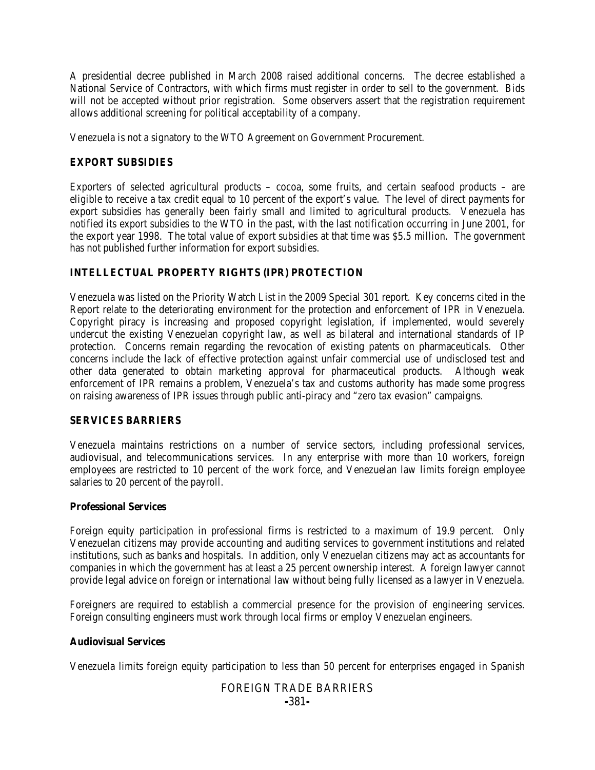A presidential decree published in March 2008 raised additional concerns. The decree established a National Service of Contractors, with which firms must register in order to sell to the government. Bids will not be accepted without prior registration. Some observers assert that the registration requirement allows additional screening for political acceptability of a company.

Venezuela is not a signatory to the WTO Agreement on Government Procurement.

## **EXPORT SUBSIDIES**

Exporters of selected agricultural products – cocoa, some fruits, and certain seafood products – are eligible to receive a tax credit equal to 10 percent of the export's value. The level of direct payments for export subsidies has generally been fairly small and limited to agricultural products. Venezuela has notified its export subsidies to the WTO in the past, with the last notification occurring in June 2001, for the export year 1998. The total value of export subsidies at that time was \$5.5 million. The government has not published further information for export subsidies.

# **INTELLECTUAL PROPERTY RIGHTS (IPR) PROTECTION**

Venezuela was listed on the Priority Watch List in the 2009 Special 301 report. Key concerns cited in the Report relate to the deteriorating environment for the protection and enforcement of IPR in Venezuela. Copyright piracy is increasing and proposed copyright legislation, if implemented, would severely undercut the existing Venezuelan copyright law, as well as bilateral and international standards of IP protection. Concerns remain regarding the revocation of existing patents on pharmaceuticals. Other concerns include the lack of effective protection against unfair commercial use of undisclosed test and other data generated to obtain marketing approval for pharmaceutical products. Although weak enforcement of IPR remains a problem, Venezuela's tax and customs authority has made some progress on raising awareness of IPR issues through public anti-piracy and "zero tax evasion" campaigns.

#### **SERVICES BARRIERS**

Venezuela maintains restrictions on a number of service sectors, including professional services, audiovisual, and telecommunications services. In any enterprise with more than 10 workers, foreign employees are restricted to 10 percent of the work force, and Venezuelan law limits foreign employee salaries to 20 percent of the payroll.

#### **Professional Services**

Foreign equity participation in professional firms is restricted to a maximum of 19.9 percent. Only Venezuelan citizens may provide accounting and auditing services to government institutions and related institutions, such as banks and hospitals. In addition, only Venezuelan citizens may act as accountants for companies in which the government has at least a 25 percent ownership interest. A foreign lawyer cannot provide legal advice on foreign or international law without being fully licensed as a lawyer in Venezuela.

Foreigners are required to establish a commercial presence for the provision of engineering services. Foreign consulting engineers must work through local firms or employ Venezuelan engineers.

#### **Audiovisual Services**

Venezuela limits foreign equity participation to less than 50 percent for enterprises engaged in Spanish

# FOREIGN TRADE BARRIERS **-**381**-**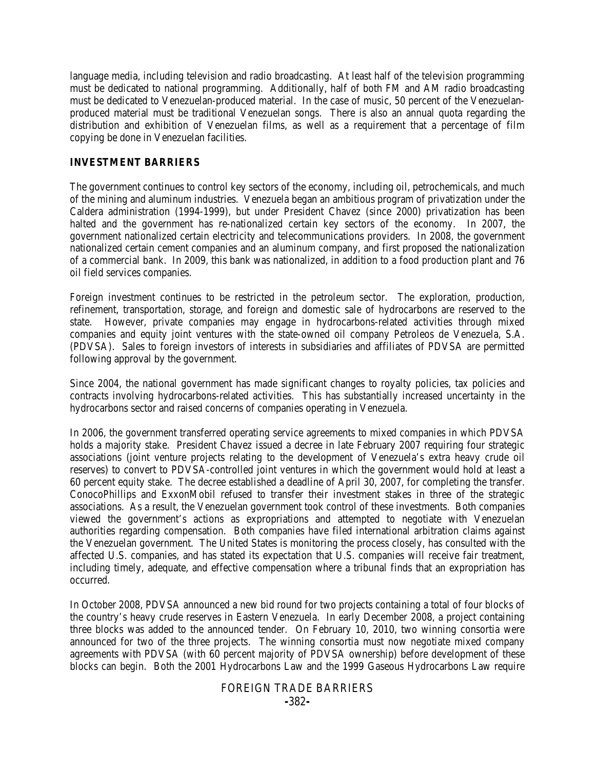language media, including television and radio broadcasting. At least half of the television programming must be dedicated to national programming. Additionally, half of both FM and AM radio broadcasting must be dedicated to Venezuelan-produced material. In the case of music, 50 percent of the Venezuelanproduced material must be traditional Venezuelan songs. There is also an annual quota regarding the distribution and exhibition of Venezuelan films, as well as a requirement that a percentage of film copying be done in Venezuelan facilities.

#### **INVESTMENT BARRIERS**

The government continues to control key sectors of the economy, including oil, petrochemicals, and much of the mining and aluminum industries. Venezuela began an ambitious program of privatization under the Caldera administration (1994-1999), but under President Chavez (since 2000) privatization has been halted and the government has re-nationalized certain key sectors of the economy. In 2007, the government nationalized certain electricity and telecommunications providers. In 2008, the government nationalized certain cement companies and an aluminum company, and first proposed the nationalization of a commercial bank. In 2009, this bank was nationalized, in addition to a food production plant and 76 oil field services companies.

Foreign investment continues to be restricted in the petroleum sector. The exploration, production, refinement, transportation, storage, and foreign and domestic sale of hydrocarbons are reserved to the state. However, private companies may engage in hydrocarbons-related activities through mixed companies and equity joint ventures with the state-owned oil company Petroleos de Venezuela, S.A. (PDVSA). Sales to foreign investors of interests in subsidiaries and affiliates of PDVSA are permitted following approval by the government.

Since 2004, the national government has made significant changes to royalty policies, tax policies and contracts involving hydrocarbons-related activities. This has substantially increased uncertainty in the hydrocarbons sector and raised concerns of companies operating in Venezuela.

In 2006, the government transferred operating service agreements to mixed companies in which PDVSA holds a majority stake. President Chavez issued a decree in late February 2007 requiring four strategic associations (joint venture projects relating to the development of Venezuela's extra heavy crude oil reserves) to convert to PDVSA-controlled joint ventures in which the government would hold at least a 60 percent equity stake. The decree established a deadline of April 30, 2007, for completing the transfer. ConocoPhillips and ExxonMobil refused to transfer their investment stakes in three of the strategic associations. As a result, the Venezuelan government took control of these investments. Both companies viewed the government's actions as expropriations and attempted to negotiate with Venezuelan authorities regarding compensation. Both companies have filed international arbitration claims against the Venezuelan government. The United States is monitoring the process closely, has consulted with the affected U.S. companies, and has stated its expectation that U.S. companies will receive fair treatment, including timely, adequate, and effective compensation where a tribunal finds that an expropriation has occurred.

In October 2008, PDVSA announced a new bid round for two projects containing a total of four blocks of the country's heavy crude reserves in Eastern Venezuela. In early December 2008, a project containing three blocks was added to the announced tender. On February 10, 2010, two winning consortia were announced for two of the three projects. The winning consortia must now negotiate mixed company agreements with PDVSA (with 60 percent majority of PDVSA ownership) before development of these blocks can begin. Both the 2001 Hydrocarbons Law and the 1999 Gaseous Hydrocarbons Law require

#### FOREIGN TRADE BARRIERS **-**382**-**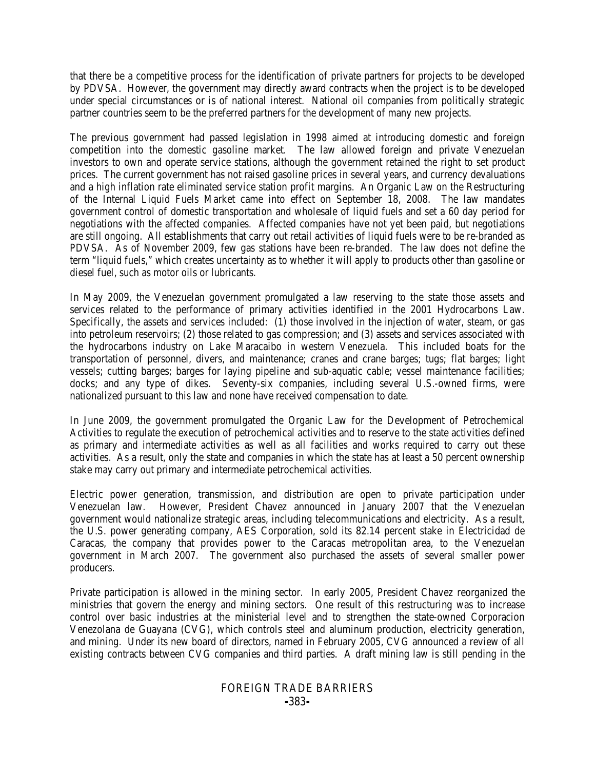that there be a competitive process for the identification of private partners for projects to be developed by PDVSA. However, the government may directly award contracts when the project is to be developed under special circumstances or is of national interest. National oil companies from politically strategic partner countries seem to be the preferred partners for the development of many new projects.

The previous government had passed legislation in 1998 aimed at introducing domestic and foreign competition into the domestic gasoline market. The law allowed foreign and private Venezuelan investors to own and operate service stations, although the government retained the right to set product prices. The current government has not raised gasoline prices in several years, and currency devaluations and a high inflation rate eliminated service station profit margins. An Organic Law on the Restructuring of the Internal Liquid Fuels Market came into effect on September 18, 2008. The law mandates government control of domestic transportation and wholesale of liquid fuels and set a 60 day period for negotiations with the affected companies. Affected companies have not yet been paid, but negotiations are still ongoing. All establishments that carry out retail activities of liquid fuels were to be re-branded as PDVSA. As of November 2009, few gas stations have been re-branded. The law does not define the term "liquid fuels," which creates uncertainty as to whether it will apply to products other than gasoline or diesel fuel, such as motor oils or lubricants.

In May 2009, the Venezuelan government promulgated a law reserving to the state those assets and services related to the performance of primary activities identified in the 2001 Hydrocarbons Law. Specifically, the assets and services included: (1) those involved in the injection of water, steam, or gas into petroleum reservoirs; (2) those related to gas compression; and (3) assets and services associated with the hydrocarbons industry on Lake Maracaibo in western Venezuela. This included boats for the transportation of personnel, divers, and maintenance; cranes and crane barges; tugs; flat barges; light vessels; cutting barges; barges for laying pipeline and sub-aquatic cable; vessel maintenance facilities; docks; and any type of dikes. Seventy-six companies, including several U.S.-owned firms, were nationalized pursuant to this law and none have received compensation to date.

In June 2009, the government promulgated the Organic Law for the Development of Petrochemical Activities to regulate the execution of petrochemical activities and to reserve to the state activities defined as primary and intermediate activities as well as all facilities and works required to carry out these activities. As a result, only the state and companies in which the state has at least a 50 percent ownership stake may carry out primary and intermediate petrochemical activities.

Electric power generation, transmission, and distribution are open to private participation under Venezuelan law. However, President Chavez announced in January 2007 that the Venezuelan government would nationalize strategic areas, including telecommunications and electricity. As a result, the U.S. power generating company, AES Corporation, sold its 82.14 percent stake in Electricidad de Caracas, the company that provides power to the Caracas metropolitan area, to the Venezuelan government in March 2007. The government also purchased the assets of several smaller power producers.

Private participation is allowed in the mining sector. In early 2005, President Chavez reorganized the ministries that govern the energy and mining sectors. One result of this restructuring was to increase control over basic industries at the ministerial level and to strengthen the state-owned Corporacion Venezolana de Guayana (CVG), which controls steel and aluminum production, electricity generation, and mining. Under its new board of directors, named in February 2005, CVG announced a review of all existing contracts between CVG companies and third parties. A draft mining law is still pending in the

#### FOREIGN TRADE BARRIERS **-**383**-**